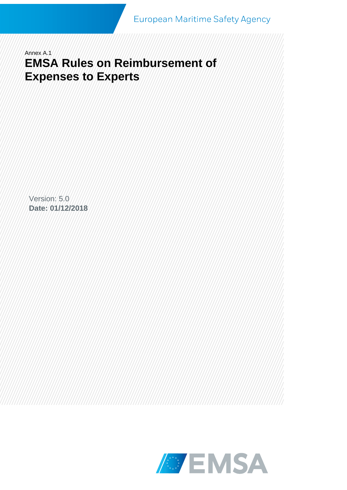## Annex A.1 **EMSA Rules on Reimbursement of Expenses to Experts**

Version: 5.0 **Date: 01/12/2018**

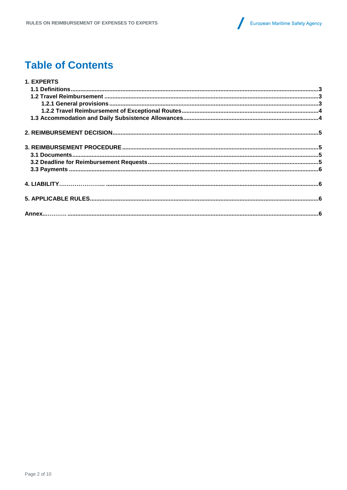

# **Table of Contents**

| 1. EXPERTS |  |
|------------|--|
|            |  |
|            |  |
|            |  |
|            |  |
|            |  |
|            |  |
|            |  |
|            |  |
|            |  |
|            |  |
|            |  |
|            |  |
|            |  |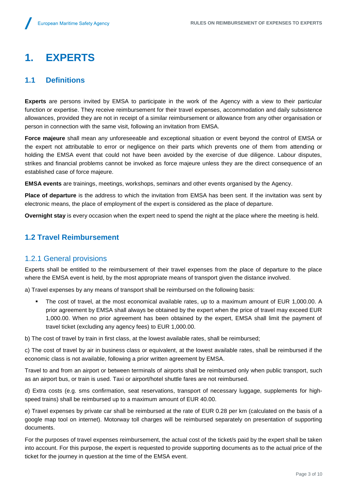# <span id="page-2-0"></span>**1. EXPERTS**

### <span id="page-2-1"></span>**1.1 Definitions**

**Experts** are persons invited by EMSA to participate in the work of the Agency with a view to their particular function or expertise. They receive reimbursement for their travel expenses, accommodation and daily subsistence allowances, provided they are not in receipt of a similar reimbursement or allowance from any other organisation or person in connection with the same visit, following an invitation from EMSA.

**Force majeure** shall mean any unforeseeable and exceptional situation or event beyond the control of EMSA or the expert not attributable to error or negligence on their parts which prevents one of them from attending or holding the EMSA event that could not have been avoided by the exercise of due diligence. Labour disputes, strikes and financial problems cannot be invoked as force majeure unless they are the direct consequence of an established case of force majeure.

**EMSA events** are trainings, meetings, workshops, seminars and other events organised by the Agency.

**Place of departure** is the address to which the invitation from EMSA has been sent. If the invitation was sent by electronic means, the place of employment of the expert is considered as the place of departure.

**Overnight stay** is every occasion when the expert need to spend the night at the place where the meeting is held.

### <span id="page-2-3"></span><span id="page-2-2"></span>**1.2 Travel Reimbursement**

#### 1.2.1 General provisions

Experts shall be entitled to the reimbursement of their travel expenses from the place of departure to the place where the EMSA event is held, by the most appropriate means of transport given the distance involved.

a) Travel expenses by any means of transport shall be reimbursed on the following basis:

 The cost of travel, at the most economical available rates, up to a maximum amount of EUR 1,000.00. A prior agreement by EMSA shall always be obtained by the expert when the price of travel may exceed EUR 1,000.00. When no prior agreement has been obtained by the expert, EMSA shall limit the payment of travel ticket (excluding any agency fees) to EUR 1,000.00.

b) The cost of travel by train in first class, at the lowest available rates, shall be reimbursed;

c) The cost of travel by air in business class or equivalent, at the lowest available rates, shall be reimbursed if the economic class is not available, following a prior written agreement by EMSA.

Travel to and from an airport or between terminals of airports shall be reimbursed only when public transport, such as an airport bus, or train is used. Taxi or airport/hotel shuttle fares are not reimbursed.

d) Extra costs (e.g. sms confirmation, seat reservations, transport of necessary luggage, supplements for highspeed trains) shall be reimbursed up to a maximum amount of EUR 40.00.

e) Travel expenses by private car shall be reimbursed at the rate of EUR 0.28 per km (calculated on the basis of a google map tool on internet). Motorway toll charges will be reimbursed separately on presentation of supporting documents.

For the purposes of travel expenses reimbursement, the actual cost of the ticket/s paid by the expert shall be taken into account. For this purpose, the expert is requested to provide supporting documents as to the actual price of the ticket for the journey in question at the time of the EMSA event.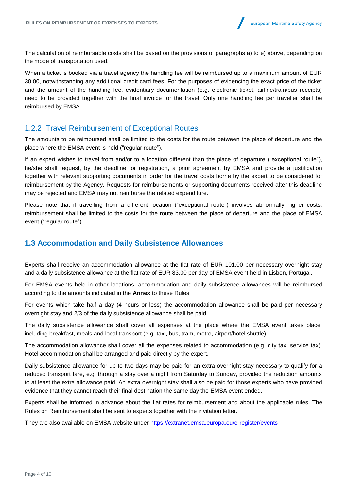The calculation of reimbursable costs shall be based on the provisions of paragraphs a) to e) above, depending on the mode of transportation used.

When a ticket is booked via a travel agency the handling fee will be reimbursed up to a maximum amount of EUR 30.00, notwithstanding any additional credit card fees. For the purposes of evidencing the exact price of the ticket and the amount of the handling fee, evidentiary documentation (e.g. electronic ticket, airline/train/bus receipts) need to be provided together with the final invoice for the travel. Only one handling fee per traveller shall be reimbursed by EMSA.

#### <span id="page-3-0"></span>1.2.2 Travel Reimbursement of Exceptional Routes

The amounts to be reimbursed shall be limited to the costs for the route between the place of departure and the place where the EMSA event is held ("regular route").

If an expert wishes to travel from and/or to a location different than the place of departure ("exceptional route"), he/she shall request, by the deadline for registration, a prior agreement by EMSA and provide a justification together with relevant supporting documents in order for the travel costs borne by the expert to be considered for reimbursement by the Agency. Requests for reimbursements or supporting documents received after this deadline may be rejected and EMSA may not reimburse the related expenditure.

Please note that if travelling from a different location ("exceptional route") involves abnormally higher costs, reimbursement shall be limited to the costs for the route between the place of departure and the place of EMSA event ("regular route").

#### <span id="page-3-1"></span>**1.3 Accommodation and Daily Subsistence Allowances**

Experts shall receive an accommodation allowance at the flat rate of EUR 101.00 per necessary overnight stay and a daily subsistence allowance at the flat rate of EUR 83.00 per day of EMSA event held in Lisbon, Portugal.

For EMSA events held in other locations, accommodation and daily subsistence allowances will be reimbursed according to the amounts indicated in the **Annex** to these Rules.

For events which take half a day (4 hours or less) the accommodation allowance shall be paid per necessary overnight stay and 2/3 of the daily subsistence allowance shall be paid.

The daily subsistence allowance shall cover all expenses at the place where the EMSA event takes place, including breakfast, meals and local transport (e.g. taxi, bus, tram, metro, airport/hotel shuttle).

The accommodation allowance shall cover all the expenses related to accommodation (e.g. city tax, service tax). Hotel accommodation shall be arranged and paid directly by the expert.

Daily subsistence allowance for up to two days may be paid for an extra overnight stay necessary to qualify for a reduced transport fare, e.g. through a stay over a night from Saturday to Sunday, provided the reduction amounts to at least the extra allowance paid. An extra overnight stay shall also be paid for those experts who have provided evidence that they cannot reach their final destination the same day the EMSA event ended.

Experts shall be informed in advance about the flat rates for reimbursement and about the applicable rules. The Rules on Reimbursement shall be sent to experts together with the invitation letter.

They are also available on EMSA website under<https://extranet.emsa.europa.eu/e-register/events>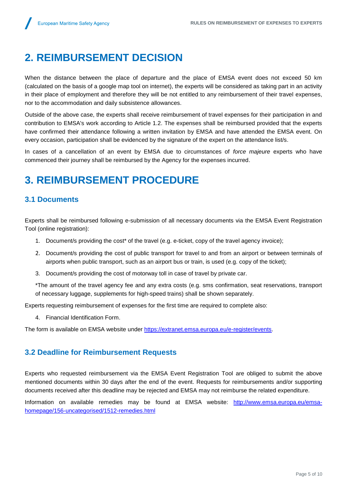# <span id="page-4-0"></span>**2. REIMBURSEMENT DECISION**

When the distance between the place of departure and the place of EMSA event does not exceed 50 km (calculated on the basis of a google map tool on internet), the experts will be considered as taking part in an activity in their place of employment and therefore they will be not entitled to any reimbursement of their travel expenses, nor to the accommodation and daily subsistence allowances.

Outside of the above case, the experts shall receive reimbursement of travel expenses for their participation in and contribution to EMSA's work according to Article 1.2. The expenses shall be reimbursed provided that the experts have confirmed their attendance following a written invitation by EMSA and have attended the EMSA event. On every occasion, participation shall be evidenced by the signature of the expert on the attendance list/s.

In cases of a cancellation of an event by EMSA due to circumstances of *force majeure* experts who have commenced their journey shall be reimbursed by the Agency for the expenses incurred.

## <span id="page-4-1"></span>**3. REIMBURSEMENT PROCEDURE**

### <span id="page-4-2"></span>**3.1 Documents**

Experts shall be reimbursed following e-submission of all necessary documents via the EMSA Event Registration Tool (online registration):

- 1. Document/s providing the cost\* of the travel (e.g. e-ticket, copy of the travel agency invoice);
- 2. Document/s providing the cost of public transport for travel to and from an airport or between terminals of airports when public transport, such as an airport bus or train, is used (e.g. copy of the ticket);
- 3. Document/s providing the cost of motorway toll in case of travel by private car.

\*The amount of the travel agency fee and any extra costs (e.g. sms confirmation, seat reservations, transport of necessary luggage, supplements for high-speed trains) shall be shown separately.

Experts requesting reimbursement of expenses for the first time are required to complete also:

4. Financial Identification Form.

The form is available on EMSA website under [https://extranet.emsa.europa.eu/e-register/events.](https://extranet.emsa.europa.eu/e-register/events)

### <span id="page-4-3"></span>**3.2 Deadline for Reimbursement Requests**

Experts who requested reimbursement via the EMSA Event Registration Tool are obliged to submit the above mentioned documents within 30 days after the end of the event. Requests for reimbursements and/or supporting documents received after this deadline may be rejected and EMSA may not reimburse the related expenditure.

Information on available remedies may be found at EMSA website: [http://www.emsa.europa.eu/emsa](http://www.emsa.europa.eu/emsa-homepage/156-uncategorised/1512-remedies.html)[homepage/156-uncategorised/1512-remedies.html](http://www.emsa.europa.eu/emsa-homepage/156-uncategorised/1512-remedies.html)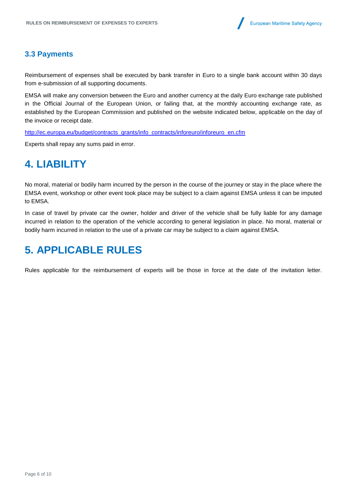### <span id="page-5-0"></span>**3.3 Payments**

Reimbursement of expenses shall be executed by bank transfer in Euro to a single bank account within 30 days from e-submission of all supporting documents.

EMSA will make any conversion between the Euro and another currency at the daily Euro exchange rate published in the Official Journal of the European Union, or failing that, at the monthly accounting exchange rate, as established by the European Commission and published on the website indicated below, applicable on the day of the invoice or receipt date.

[http://ec.europa.eu/budget/contracts\\_grants/info\\_contracts/inforeuro/inforeuro\\_en.cfm](http://ec.europa.eu/budget/contracts_grants/info_contracts/inforeuro/inforeuro_en.cfm)

Experts shall repay any sums paid in error.

## <span id="page-5-1"></span>**4. LIABILITY**

No moral, material or bodily harm incurred by the person in the course of the journey or stay in the place where the EMSA event, workshop or other event took place may be subject to a claim against EMSA unless it can be imputed to EMSA.

In case of travel by private car the owner, holder and driver of the vehicle shall be fully liable for any damage incurred in relation to the operation of the vehicle according to general legislation in place. No moral, material or bodily harm incurred in relation to the use of a private car may be subject to a claim against EMSA.

## <span id="page-5-2"></span>**5. APPLICABLE RULES**

<span id="page-5-3"></span>Rules applicable for the reimbursement of experts will be those in force at the date of the invitation letter.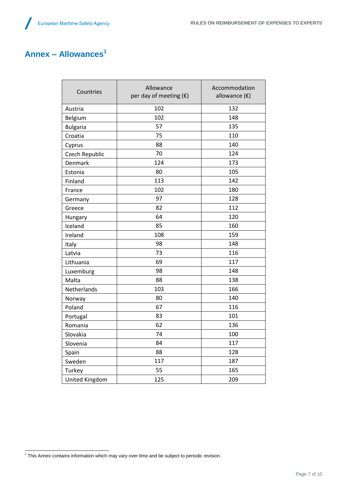## **Annex – Allowances<sup>1</sup>**

| Countries       | Allowance<br>per day of meeting $(\epsilon)$ | Accommodation<br>allowance $(\epsilon)$ |
|-----------------|----------------------------------------------|-----------------------------------------|
| Austria         | 102                                          | 132                                     |
| Belgium         | 102                                          | 148                                     |
| <b>Bulgaria</b> | 57                                           | 135                                     |
| Croatia         | 75                                           | 110                                     |
| Cyprus          | 88                                           | 140                                     |
| Czech Republic  | 70                                           | 124                                     |
| Denmark         | 124                                          | 173                                     |
| Estonia         | 80                                           | 105                                     |
| Finland         | 113                                          | 142                                     |
| France          | 102                                          | 180                                     |
| Germany         | 97                                           | 128                                     |
| Greece          | 82                                           | 112                                     |
| Hungary         | 64                                           | 120                                     |
| Iceland         | 85                                           | 160                                     |
| Ireland         | 108                                          | 159                                     |
| Italy           | 98                                           | 148                                     |
| Latvia          | 73                                           | 116                                     |
| Lithuania       | 69                                           | 117                                     |
| Luxemburg       | 98                                           | 148                                     |
| Malta           | 88                                           | 138                                     |
| Netherlands     | 103                                          | 166                                     |
| Norway          | 80                                           | 140                                     |
| Poland          | 67                                           | 116                                     |
| Portugal        | 83                                           | 101                                     |
| Romania         | 62                                           | 136                                     |
| Slovakia        | 74                                           | 100                                     |
| Slovenia        | 84                                           | 117                                     |
| Spain           | 88                                           | 128                                     |
| Sweden          | 117                                          | 187                                     |
| Turkey          | 55                                           | 165                                     |
| United Kingdom  | 125                                          | 209                                     |

 1 This Annex contains information which may vary over time and be subject to periodic revision.